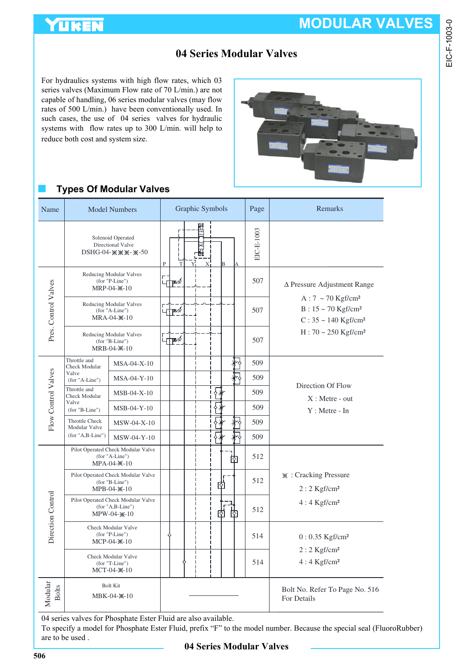

EIC-F-1003-0

### **04 Series Modular Valves**

For hydraulics systems with high flow rates, which 03 series valves (Maximum Flow rate of 70 L/min.) are not capable of handling, 06 series modular valves (may flow rates of 500 L/min.) have been conventionally used. In such cases, the use of 04 series valves for hydraulic systems with flow rates up to 300 L/min. will help to reduce both cost and system size.



### ■ **Types Of Modular Valves**

| Name                    |                                                                                                                                                                                                                                   | <b>Model Numbers</b>                                       | Graphic Symbols |  |                 | Page | Remarks |    |              |                                                                                                                |
|-------------------------|-----------------------------------------------------------------------------------------------------------------------------------------------------------------------------------------------------------------------------------|------------------------------------------------------------|-----------------|--|-----------------|------|---------|----|--------------|----------------------------------------------------------------------------------------------------------------|
|                         | Solenoid Operated<br>Directional Valve<br>$DSHG-04 \mathscr{W}\mathscr{W}\mathscr{W}-\mathscr{W}-50$                                                                                                                              |                                                            |                 |  | 問<br><b>NPE</b> |      |         |    | $EIC-E-1003$ |                                                                                                                |
|                         | Reducing Modular Valves<br>(for "P-Line")<br>MRP-04-X-10                                                                                                                                                                          |                                                            | ∟††™∕           |  |                 |      |         |    | 507          | $\Delta$ Pressure Adjustment Range                                                                             |
| Pres. Control Valves    |                                                                                                                                                                                                                                   | Reducing Modular Valves<br>(for "A-Line")<br>$MRA-04-X-10$ | ┨╄              |  |                 |      |         |    | 507          | $A:7~$ ~ 70 Kgf/cm <sup>2</sup><br>$B: 15 \sim 70$ Kgf/cm <sup>2</sup><br>$C: 35 \sim 140$ Kgf/cm <sup>2</sup> |
|                         | Reducing Modular Valves<br>$(for "B-Line")$<br>MRB-04- <sup>*</sup> -10                                                                                                                                                           |                                                            | ⊣†ֲ             |  |                 |      |         |    | 507          | $H: 70 \sim 250$ Kgf/cm <sup>2</sup>                                                                           |
|                         | Throttle and<br><b>Check Modular</b>                                                                                                                                                                                              | $MSA-04-X-10$                                              |                 |  |                 |      |         |    | 509          |                                                                                                                |
|                         | Valve<br>(for "A-Line")                                                                                                                                                                                                           | MSA-04-Y-10                                                |                 |  |                 |      |         |    | 509          |                                                                                                                |
| Flow Control Valves     | Throttle and<br><b>Check Modular</b><br>Valve<br>$(for "B-Line")$                                                                                                                                                                 | $MSB-04-X-10$                                              |                 |  |                 |      |         |    | 509          | Direction Of Flow<br>$X:$ Metre - out                                                                          |
|                         |                                                                                                                                                                                                                                   | $MSB-04-Y-10$                                              |                 |  |                 |      |         |    | 509          | $Y:$ Metre - In                                                                                                |
|                         | <b>Throttle Check</b><br><b>Modular Valve</b><br>(for "A,B-Line")                                                                                                                                                                 | $MSW-04-X-10$                                              |                 |  |                 |      |         |    | 509          |                                                                                                                |
|                         |                                                                                                                                                                                                                                   | MSW-04-Y-10                                                |                 |  |                 |      |         |    | 509          |                                                                                                                |
|                         | Pilot Operated Check Modular Valve<br>(for "A-Line")<br>$MPA-04-X-10$<br>Pilot Operated Check Modular Valve<br>(for "B-Line")<br>$MPB-04 \times$ -10<br>Pilot Operated Check Modular Valve<br>$(for "A,B-Line")$<br>$MPW-04-x-10$ |                                                            |                 |  |                 |      |         | शि | 512          |                                                                                                                |
|                         |                                                                                                                                                                                                                                   |                                                            |                 |  |                 | 囪    |         |    | 512          | * : Cracking Pressure<br>$2:2$ Kgf/cm <sup>2</sup>                                                             |
| Direction Control       |                                                                                                                                                                                                                                   |                                                            |                 |  |                 | Iфl  |         |    | 512          | $4:4$ Kgf/cm <sup>2</sup>                                                                                      |
|                         | Check Modular Valve<br>$(for "P-Line")$<br>$MCP-04-X-10$                                                                                                                                                                          |                                                            |                 |  |                 |      |         |    | 514          | $0: 0.35$ Kgf/cm <sup>2</sup>                                                                                  |
|                         | Check Modular Valve<br>$(for "T-Line")$<br>MCT-04- $\mathbb{X}-10$                                                                                                                                                                |                                                            |                 |  |                 |      |         |    | 514          | $2:2$ Kgf/cm <sup>2</sup><br>$4:4$ Kgf/cm <sup>2</sup>                                                         |
| Modular<br><b>Bolts</b> | <b>Bolt Kit</b><br>MBK-04- <sup>*</sup> -10                                                                                                                                                                                       |                                                            |                 |  |                 |      |         |    |              | Bolt No. Refer To Page No. 516<br>For Details                                                                  |

04 series valves for Phosphate Ester Fluid are also available.

To specify a model for Phosphate Ester Fluid, prefix "F" to the model number. Because the special seal (FluoroRubber) are to be used .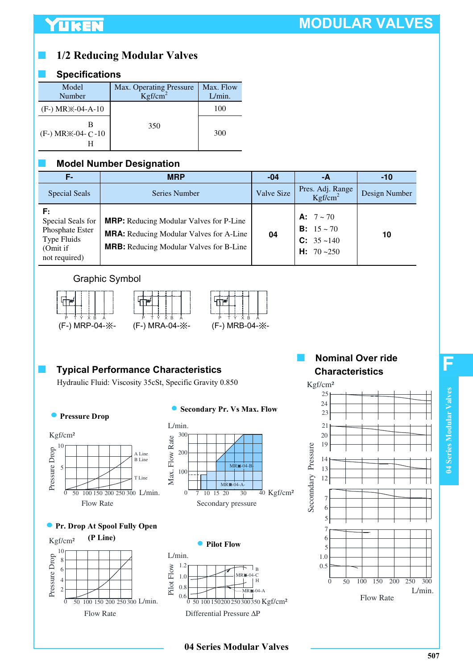# YUKEN

# **MODULAR VALVES**

# ■ **1/2 Reducing Modular Valves**

### ■ **Specifications**

| Model<br>Number             | Max. Operating Pressure<br>$Kgf/cm^2$ | Max. Flow<br>L/min. |
|-----------------------------|---------------------------------------|---------------------|
| $(F-) MR$ $×-04-A-10$       |                                       | 100                 |
| $(F-) MR$ $\&$ -04- $C$ -10 | 350                                   | 300                 |

### **Model Number Designation**

| Е.                                                                                     | <b>MRP</b>                                                                                                                                         | $-04$      | -А                                                                                        | $-10$         |
|----------------------------------------------------------------------------------------|----------------------------------------------------------------------------------------------------------------------------------------------------|------------|-------------------------------------------------------------------------------------------|---------------|
| <b>Special Seals</b>                                                                   | Series Number                                                                                                                                      | Valve Size | Pres. Adj. Range<br>Kgf/cm <sup>2</sup>                                                   | Design Number |
| F:<br>Special Seals for<br>Phosphate Ester<br>Type Fluids<br>(Omit if<br>not required) | <b>MRP:</b> Reducing Modular Valves for P-Line<br><b>MRA:</b> Reducing Modular Valves for A-Line<br><b>MRB:</b> Reducing Modular Valves for B-Line | 04         | <b>A:</b> $7 \sim 70$<br><b>B</b> : $15 \sim 70$<br>$C: 35 - 140$<br><b>H:</b> $70 - 250$ | 10            |

### Graphic Symbol







## **Typical Performance Characteristics**

Hydraulic Fluid: Viscosity 35cSt, Specific Gravity 0.850

#### **Pressure Drop**



#### $\bullet$ **Secondary Pr. Vs Max. Flow**



### **Pr. Drop At Spool Fully Open**





Differential Pressure ∆P

**04 Series Modular Valves**

### **Nominal Over ride Characteristics**



**F**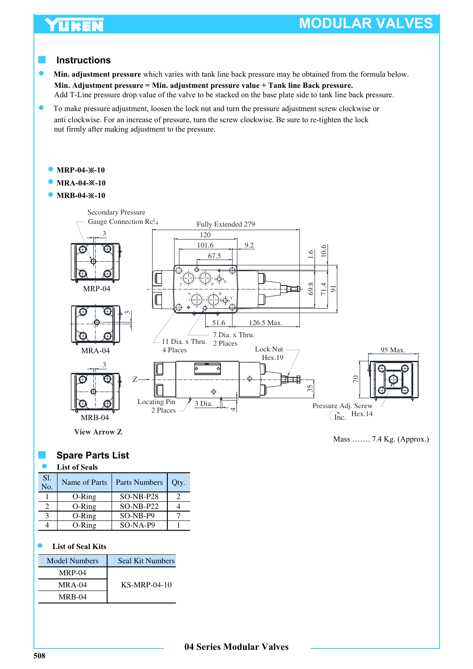# **TIKEN**

# **MODULAR VALVES**

### ■ **Instructions**

 $\bullet$ **Min. adjustment pressure** which varies with tank line back pressure may be obtained from the formula below. **Min. Adjustment pressure = Min. adjustment pressure value + Tank line Back pressure.**  Add T-Line pressure drop value of the valve to be stacked on the base plate side to tank line back pressure.

To make pressure adjustment, loosen the lock nut and turn the pressure adjustment screw clockwise or anti clockwise. For an increase of pressure, turn the screw clockwise. Be sure to re-tighten the lock nut firmly after making adjustment to the pressure.

- **MRP-04-**※**-10**
- **MRA-04-**※**-10**
- **MRB-04-**※**-10**



Mass ……. 7.4 Kg. (Approx.)

### **Spare Parts List**

#### **List of Seals**

| S1.<br>No. | Name of Parts | <b>Parts Numbers</b> | Qty. |
|------------|---------------|----------------------|------|
|            | $O-Ring$      | $SO-NB- P28$         |      |
|            | $O-Ring$      | $SO-NB- P22$         |      |
|            | $O-Ring$      | $SO-NB- P9$          |      |
|            | $O-Ring$      | $SO-NA-P9$           |      |

#### **List of Seal Kits**

| <b>Model Numbers</b> | Seal Kit Numbers |
|----------------------|------------------|
| $MRP-04$             |                  |
| $MRA-04$             | $KS-MRP-04-10$   |
| <b>MRB-04</b>        |                  |

**04 Series Modular Valves**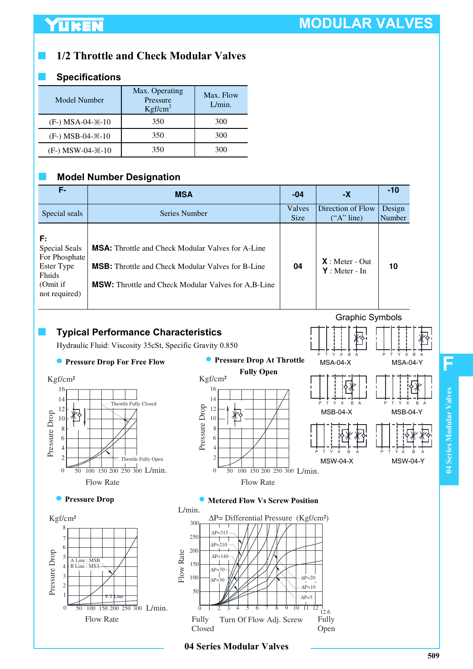### ■ **1/2 Throttle and Check Modular Valves**

### ■ **Specifications**

| Model Number                     | Max. Operating<br>Pressure<br>Kgf/cm <sup>2</sup> | Max. Flow<br>L/min. |
|----------------------------------|---------------------------------------------------|---------------------|
| $(F-)$ MSA-04- $\frac{1}{2}$ -10 | 350                                               | 300                 |
| $(F-) MSB-04-X-10$               | 350                                               | 300                 |
| $(F-)$ MSW-04- $\frac{1}{2}$ -10 | 350                                               | 300                 |

### ■ **Model Number Designation**

| F-                                                                                               | <b>MSA</b>                                                                                                                                                                         | $-04$                 | -Х                                  | $-10$            |
|--------------------------------------------------------------------------------------------------|------------------------------------------------------------------------------------------------------------------------------------------------------------------------------------|-----------------------|-------------------------------------|------------------|
| Special seals                                                                                    | Series Number                                                                                                                                                                      | Valves<br><b>Size</b> | Direction of Flow<br>("A" line)     | Design<br>Number |
| F:<br>Special Seals<br>For Phosphate<br>Ester Type<br><b>Fluids</b><br>(Omit if<br>not required) | <b>MSA:</b> Throttle and Check Modular Valves for A-Line<br><b>MSB:</b> Throttle and Check Modular Valves for B-Line<br><b>MSW:</b> Throttle and Check Modular Valves for A,B-Line | 04                    | $X:$ Meter - Out<br>$Y:$ Meter - In | 10               |

### ■ **Typical Performance Characteristics**

Hydraulic Fluid: Viscosity 35cSt, Specific Gravity 0.850





# Graphic Symbols



### **• Pressure Drop C Metered Flow Vs Screw Position**



**F**

**04 Series Modular Valves**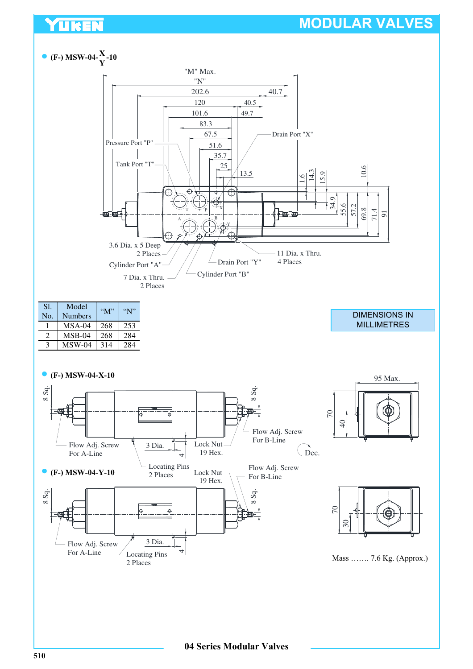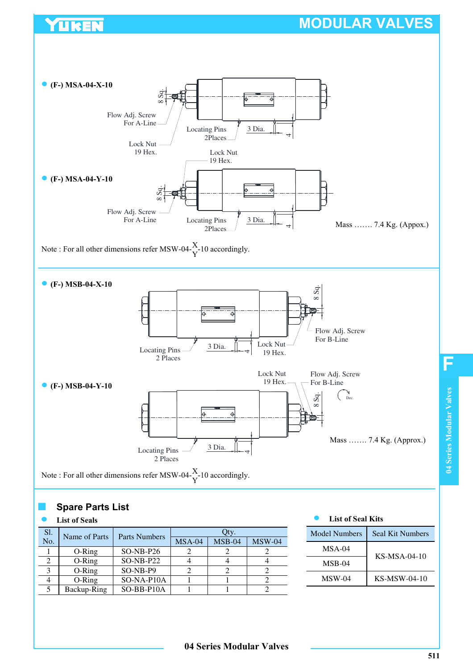

### **Spare Parts List**

**TIKEN** 

#### **List of Seals**

| S1. | Name of Parts | Parts Numbers | Jty.     |          |          |  |
|-----|---------------|---------------|----------|----------|----------|--|
| No. |               |               | $MSA-04$ | $MSB-04$ | $MSW-04$ |  |
|     | $O-Ring$      | $SO-NB- P26$  |          |          |          |  |
|     | $O-Ring$      | $SO-NB- P22$  |          |          |          |  |
|     | O-Ring        | SO-NB-P9      |          |          |          |  |
|     | O-Ring        | SO-NA-P10A    |          |          |          |  |
|     | Backup-Ring   | SO-BB-P10A    |          |          |          |  |

| <b>Model Numbers</b> | Seal Kit Numbers |
|----------------------|------------------|
| $MSA-04$             | $KS-MSA-04-10$   |
| $MSB-04$             |                  |
| $MSW-04$             | $KS$ -MSW-04-10  |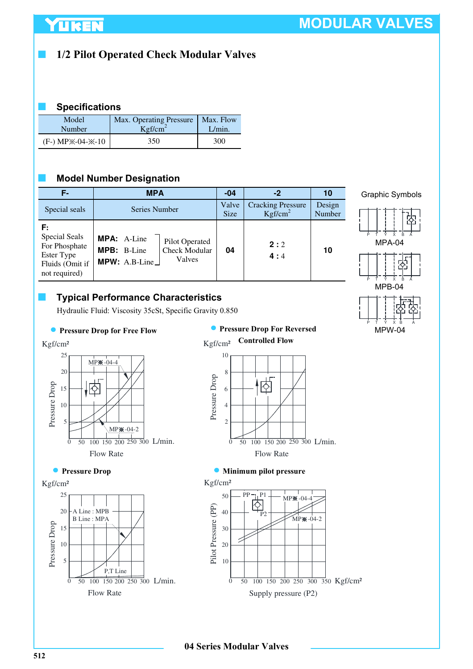# ■ **1/2 Pilot Operated Check Modular Valves**

### ■ **Specifications**

| Model              | Max. Operating Pressure | Max. Flow |
|--------------------|-------------------------|-----------|
| Number             | Kgf/cm <sup>2</sup>     | L/min.    |
| $(F-) MPX-04-X-10$ | 350                     | 300       |

### **Model Number Designation**

| Е.                                                                                     | <b>MPA</b>                                                                                             | $-04$                | $-2$                                            | 10               |
|----------------------------------------------------------------------------------------|--------------------------------------------------------------------------------------------------------|----------------------|-------------------------------------------------|------------------|
| Special seals                                                                          | Series Number                                                                                          | Valve<br><b>Size</b> | <b>Cracking Pressure</b><br>Kgf/cm <sup>2</sup> | Design<br>Number |
| F:<br>Special Seals<br>For Phosphate<br>Ester Type<br>Fluids (Omit if<br>not required) | <b>MPA:</b> A-Line<br>Pilot Operated<br><b>Check Modular</b><br>MPB: B-Line<br>Valves<br>MPW: A.B-Line | 04                   | 2:2<br>4:4                                      | 10               |

### ■ **Typical Performance Characteristics**

Hydraulic Fluid: Viscosity 35cSt, Specific Gravity 0.850



#### **Pressure Drop for Free Flow Pressure Drop For Reversed Controlled Flow**





### **Minimum pilot pressure**



Graphic Symbols



MPW-04

25  $MP$ 20 Pressure Drop 15 交 10 5  $MP$  $# -04-2$ 0 50 100 150 200 250 300 L/min. Flow Rate



Kgf/cm²

Kgf/cm²

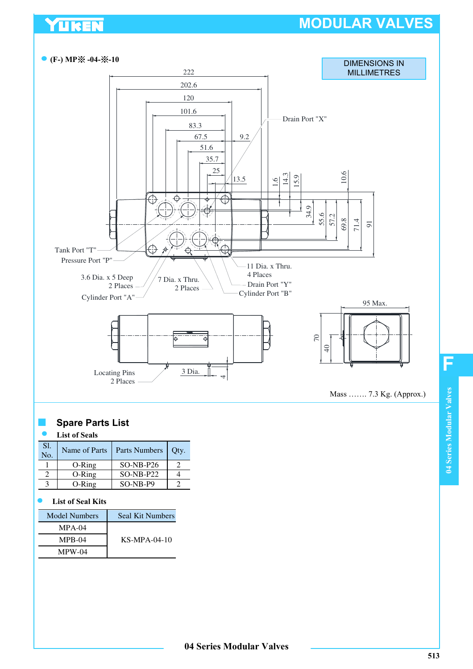

### **Spare Parts List**

#### **List of Seals**

YUKEN

| S1.<br>No. | Name of Parts | Parts Numbers | Oty. |
|------------|---------------|---------------|------|
|            | $O-Rine$      | $SO-NB- P26$  |      |
|            | $O-Ring$      | $SO-NB- P22$  |      |
|            | $O-Ring$      | $SO-NR-P9$    |      |

#### **List of Seal Kits**

| <b>Model Numbers</b> | Seal Kit Numbers |  |
|----------------------|------------------|--|
| $MPA-04$             |                  |  |
| $MPB-04$             | $KS-MPA-04-10$   |  |
| $MPW-04$             |                  |  |

**F**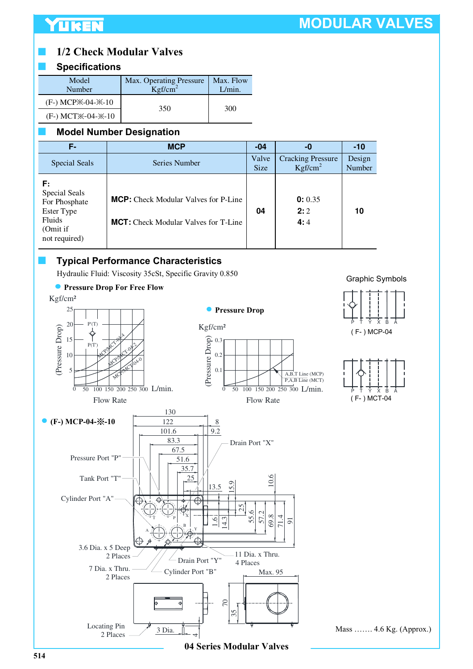### ■ **1/2 Check Modular Valves**

### ■ **Specifications**

| Model<br>Number                             | Max. Operating Pressure<br>Kgf/cm <sup>2</sup> | Max. Flow<br>L/min. |  |
|---------------------------------------------|------------------------------------------------|---------------------|--|
| (F-) MCP <sup>*</sup> -04- <sup>*</sup> -10 | 350                                            |                     |  |
| (F-) MCT * -04- * -10                       |                                                | 300                 |  |

### **Model Number Designation**

| F- .                                                                                      | <b>MCP</b>                                                                                 | $-04$                | -0                                              | $-10$            |
|-------------------------------------------------------------------------------------------|--------------------------------------------------------------------------------------------|----------------------|-------------------------------------------------|------------------|
| <b>Special Seals</b>                                                                      | Series Number                                                                              | Valve<br><b>Size</b> | <b>Cracking Pressure</b><br>Kgf/cm <sup>2</sup> | Design<br>Number |
| F:<br>Special Seals<br>For Phosphate<br>Ester Type<br>Fluids<br>(Omit if<br>not required) | <b>MCP:</b> Check Modular Valves for P-Line<br><b>MCT:</b> Check Modular Valves for T-Line | 04                   | 0: 0.35<br>2:2<br>4:4                           | 10               |

### **Typical Performance Characteristics**

Hydraulic Fluid: Viscosity 35cSt, Specific Gravity 0.850

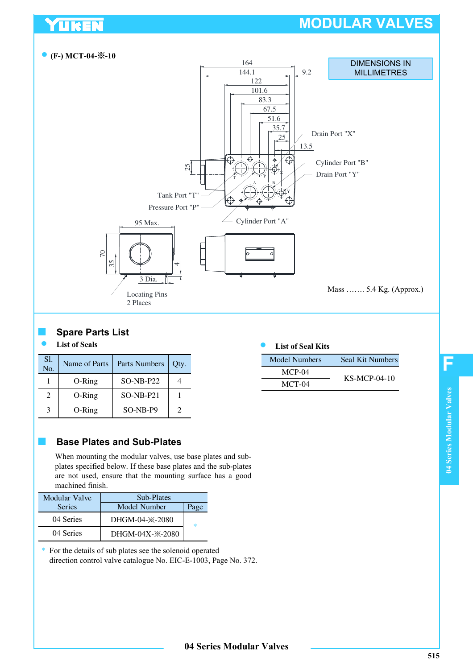

### **Spare Parts List**

UKEN

#### **List of Seals**

| Sl.<br>No.                  | Name of Parts | Parts Numbers | Qty. |
|-----------------------------|---------------|---------------|------|
|                             | O-Ring        | $SO-NB- P22$  |      |
| $\mathcal{D}_{\mathcal{A}}$ | $O-Ring$      | $SO-NB- P21$  |      |
| 3                           | $O-Ring$      | $SO-NB- P9$   |      |

### ■ **Base Plates and Sub-Plates**

When mounting the modular valves, use base plates and subplates specified below. If these base plates and the sub-plates are not used, ensure that the mounting surface has a good machined finish.

| <b>Modular Valve</b> | Sub-Plates                    |        |  |
|----------------------|-------------------------------|--------|--|
| <b>Series</b>        | Model Number                  | Page   |  |
| 04 Series            | DHGM-04- $\times$ -2080       | $\ast$ |  |
| 04 Series            | DHGM-04X- $\frac{1}{2}$ -2080 |        |  |

\* For the details of sub plates see the solenoid operated direction control valve catalogue No. EIC-E-1003, Page No. 372.

### **List of Seal Kits**

| Model Numbers | Seal Kit Numbers |  |
|---------------|------------------|--|
| $MCP-04$      | $KS-MCP-04-10$   |  |
| MCT-04        |                  |  |